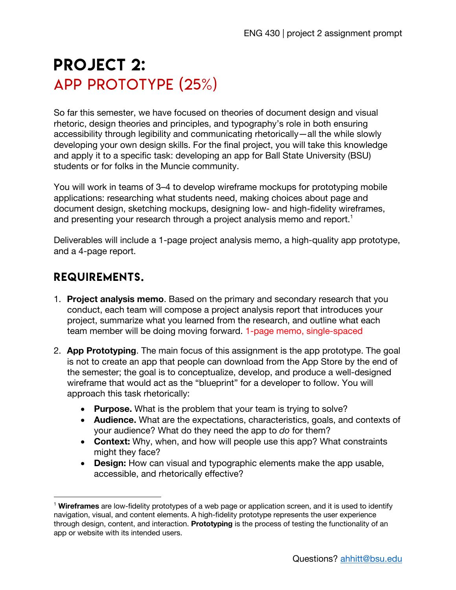## PROJECT 2: App prototype (25%)

So far this semester, we have focused on theories of document design and visual rhetoric, design theories and principles, and typography's role in both ensuring accessibility through legibility and communicating rhetorically—all the while slowly developing your own design skills. For the final project, you will take this knowledge and apply it to a specific task: developing an app for Ball State University (BSU) students or for folks in the Muncie community.

You will work in teams of 3–4 to develop wireframe mockups for prototyping mobile applications: researching what students need, making choices about page and document design, sketching mockups, designing low- and high-fidelity wireframes, and presenting your research through a project analysis memo and report.<sup>1</sup>

Deliverables will include a 1-page project analysis memo, a high-quality app prototype, and a 4-page report.

## requirements.

- 1. **Project analysis memo**. Based on the primary and secondary research that you conduct, each team will compose a project analysis report that introduces your project, summarize what you learned from the research, and outline what each team member will be doing moving forward. 1-page memo, single-spaced
- 2. **App Prototyping**. The main focus of this assignment is the app prototype. The goal is not to create an app that people can download from the App Store by the end of the semester; the goal is to conceptualize, develop, and produce a well-designed wireframe that would act as the "blueprint" for a developer to follow. You will approach this task rhetorically:
	- **Purpose.** What is the problem that your team is trying to solve?
	- **Audience.** What are the expectations, characteristics, goals, and contexts of your audience? What do they need the app to *do* for them?
	- **Context:** Why, when, and how will people use this app? What constraints might they face?
	- **Design:** How can visual and typographic elements make the app usable, accessible, and rhetorically effective?

<sup>1</sup> **Wireframes** are low-fidelity prototypes of a web page or application screen, and it is used to identify navigation, visual, and content elements. A high-fidelity prototype represents the user experience through design, content, and interaction. **Prototyping** is the process of testing the functionality of an app or website with its intended users.